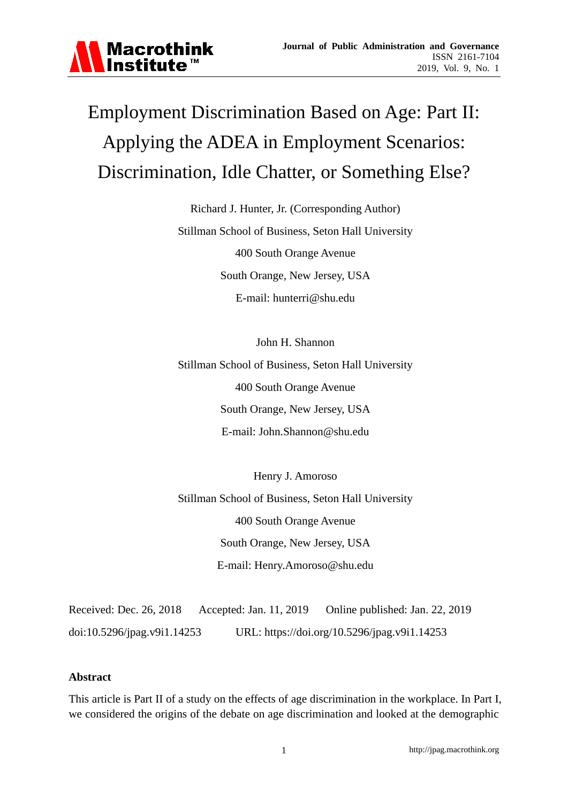

# Employment Discrimination Based on Age: Part II: Applying the ADEA in Employment Scenarios: Discrimination, Idle Chatter, or Something Else?

Richard J. Hunter, Jr. (Corresponding Author) Stillman School of Business, Seton Hall University 400 South Orange Avenue South Orange, New Jersey, USA E-mail: hunterri@shu.edu

John H. Shannon Stillman School of Business, Seton Hall University 400 South Orange Avenue South Orange, New Jersey, USA E-mail: John.Shannon@shu.edu

Henry J. Amoroso Stillman School of Business, Seton Hall University 400 South Orange Avenue South Orange, New Jersey, USA E-mail: Henry.Amoroso@shu.edu

Received: Dec. 26, 2018 Accepted: Jan. 11, 2019 Online published: Jan. 22, 2019 doi:10.5296/jpag.v9i1.14253 URL: https://doi.org/10.5296/jpag.v9i1.14253

#### **Abstract**

This article is Part II of a study on the effects of age discrimination in the workplace. In Part I, we considered the origins of the debate on age discrimination and looked at the demographic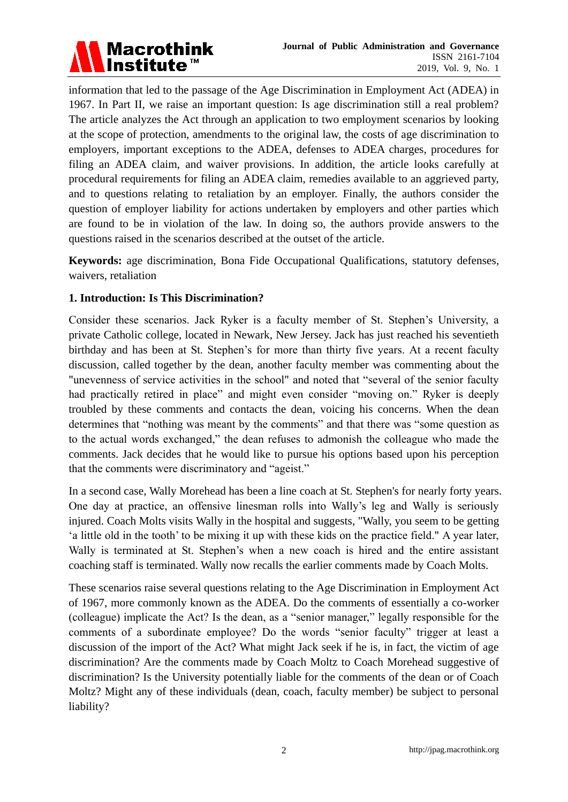

information that led to the passage of the Age Discrimination in Employment Act (ADEA) in 1967. In Part II, we raise an important question: Is age discrimination still a real problem? The article analyzes the Act through an application to two employment scenarios by looking at the scope of protection, amendments to the original law, the costs of age discrimination to employers, important exceptions to the ADEA, defenses to ADEA charges, procedures for filing an ADEA claim, and waiver provisions. In addition, the article looks carefully at procedural requirements for filing an ADEA claim, remedies available to an aggrieved party, and to questions relating to retaliation by an employer. Finally, the authors consider the question of employer liability for actions undertaken by employers and other parties which are found to be in violation of the law. In doing so, the authors provide answers to the questions raised in the scenarios described at the outset of the article.

**Keywords:** age discrimination, Bona Fide Occupational Qualifications, statutory defenses, waivers, retaliation

## **1. Introduction: Is This Discrimination?**

Consider these scenarios. Jack Ryker is a faculty member of St. Stephen's University, a private Catholic college, located in Newark, New Jersey. Jack has just reached his seventieth birthday and has been at St. Stephen's for more than thirty five years. At a recent faculty discussion, called together by the dean, another faculty member was commenting about the "unevenness of service activities in the school" and noted that "several of the senior faculty had practically retired in place" and might even consider "moving on." Ryker is deeply troubled by these comments and contacts the dean, voicing his concerns. When the dean determines that "nothing was meant by the comments" and that there was "some question as to the actual words exchanged," the dean refuses to admonish the colleague who made the comments. Jack decides that he would like to pursue his options based upon his perception that the comments were discriminatory and "ageist."

In a second case, Wally Morehead has been a line coach at St. Stephen's for nearly forty years. One day at practice, an offensive linesman rolls into Wally's leg and Wally is seriously injured. Coach Molts visits Wally in the hospital and suggests, "Wally, you seem to be getting ‗a little old in the tooth' to be mixing it up with these kids on the practice field." A year later, Wally is terminated at St. Stephen's when a new coach is hired and the entire assistant coaching staff is terminated. Wally now recalls the earlier comments made by Coach Molts.

These scenarios raise several questions relating to the Age Discrimination in Employment Act of 1967, more commonly known as the ADEA. Do the comments of essentially a co-worker (colleague) implicate the Act? Is the dean, as a "senior manager," legally responsible for the comments of a subordinate employee? Do the words "senior faculty" trigger at least a discussion of the import of the Act? What might Jack seek if he is, in fact, the victim of age discrimination? Are the comments made by Coach Moltz to Coach Morehead suggestive of discrimination? Is the University potentially liable for the comments of the dean or of Coach Moltz? Might any of these individuals (dean, coach, faculty member) be subject to personal liability?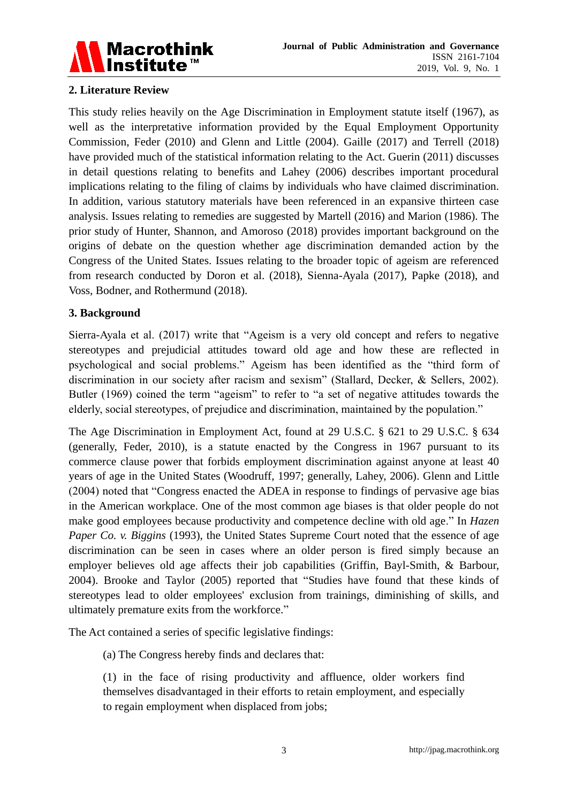

## **2. Literature Review**

This study relies heavily on the Age Discrimination in Employment statute itself (1967), as well as the interpretative information provided by the Equal Employment Opportunity Commission, Feder (2010) and Glenn and Little (2004). Gaille (2017) and Terrell (2018) have provided much of the statistical information relating to the Act. Guerin (2011) discusses in detail questions relating to benefits and Lahey (2006) describes important procedural implications relating to the filing of claims by individuals who have claimed discrimination. In addition, various statutory materials have been referenced in an expansive thirteen case analysis. Issues relating to remedies are suggested by Martell (2016) and Marion (1986). The prior study of Hunter, Shannon, and Amoroso (2018) provides important background on the origins of debate on the question whether age discrimination demanded action by the Congress of the United States. Issues relating to the broader topic of ageism are referenced from research conducted by Doron et al. (2018), Sienna-Ayala (2017), Papke (2018), and Voss, Bodner, and Rothermund (2018).

#### **3. Background**

Sierra-Ayala et al.  $(2017)$  write that "Ageism is a very old concept and refers to negative stereotypes and prejudicial attitudes toward old age and how these are reflected in psychological and social problems." Ageism has been identified as the "third form of discrimination in our society after racism and sexism" (Stallard, Decker, & Sellers, 2002). Butler (1969) coined the term "ageism" to refer to "a set of negative attitudes towards the elderly, social stereotypes, of prejudice and discrimination, maintained by the population."

The Age Discrimination in Employment Act, found at [29 U.S.C.](https://en.wikipedia.org/wiki/Title_29_of_the_United_States_Code) [§ 621](https://www.law.cornell.edu/uscode/text/29/621) to [29 U.S.C.](https://en.wikipedia.org/wiki/Title_29_of_the_United_States_Code) [§ 634](https://www.law.cornell.edu/uscode/text/29/634) (generally, Feder, 2010), is a statute enacted by the Congress in 1967 pursuant to its commerce clause power that forbids [employment](https://en.wikipedia.org/wiki/Employment) [discrimination](https://en.wikipedia.org/wiki/Discrimination) against anyone at least 40 years of age in the [United States](https://en.wikipedia.org/wiki/United_States) (Woodruff, 1997; generally, Lahey, 2006). Glenn and Little (2004) noted that "Congress enacted the ADEA in response to findings of pervasive age bias in the American workplace. One of the most common age biases is that older people do not make good employees because productivity and competence decline with old age." In *Hazen Paper Co. v. Biggins* (1993), the United States Supreme Court noted that the essence of age discrimination can be seen in cases where an older person is fired simply because an employer believes old age affects their job capabilities (Griffin, Bayl-Smith, & Barbour, 2004). Brooke and Taylor (2005) reported that "Studies have found that these kinds of stereotypes lead to older employees' exclusion from trainings, diminishing of skills, and ultimately premature exits from the workforce."

The Act contained a series of specific legislative findings:

(a) The Congress hereby finds and declares that:

(1) in the face of rising productivity and affluence, older workers find themselves disadvantaged in their efforts to retain employment, and especially to regain employment when displaced from jobs;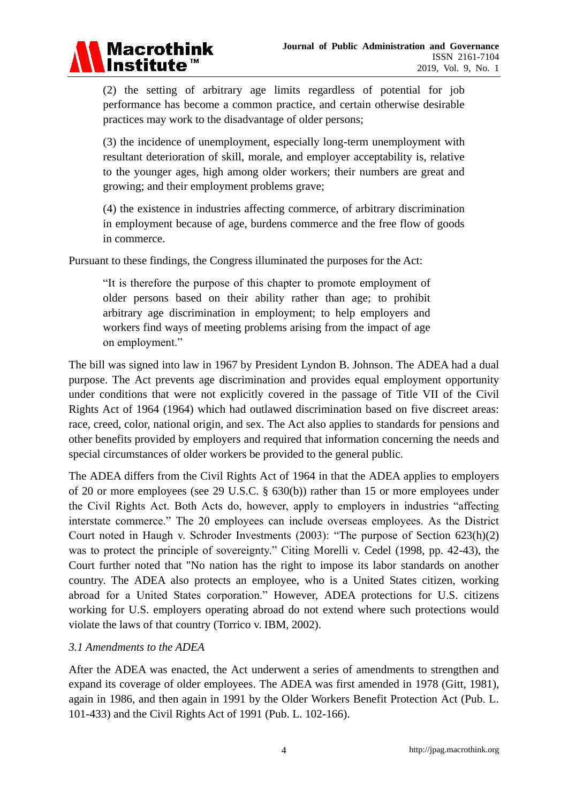

(2) the setting of arbitrary age limits regardless of potential for job performance has become a common practice, and certain otherwise desirable practices may work to the disadvantage of older persons;

(3) the incidence of unemployment, especially long-term unemployment with resultant deterioration of skill, morale, and employer acceptability is, relative to the younger ages, high among older workers; their numbers are great and growing; and their employment problems grave;

(4) the existence in industries affecting commerce, of arbitrary discrimination in employment because of age, burdens commerce and the free flow of goods in commerce.

Pursuant to these findings, the Congress illuminated the purposes for the Act:

―It is therefore the purpose of this chapter to promote employment of older persons based on their ability rather than age; to prohibit arbitrary age discrimination in employment; to help employers and workers find ways of meeting problems arising from the impact of age on employment."

The bill was signed into law in 1967 by President [Lyndon B. Johnson.](https://en.wikipedia.org/wiki/Lyndon_B._Johnson) The ADEA had a dual purpose. The Act prevents [age discrimination](https://en.wikipedia.org/wiki/Ageism) and provides equal employment opportunity under conditions that were not explicitly covered in the passage of [Title VII](https://en.wikipedia.org/wiki/Title_VII) of the [Civil](https://en.wikipedia.org/wiki/Civil_Rights_Act_of_1964)  [Rights Act of 1964](https://en.wikipedia.org/wiki/Civil_Rights_Act_of_1964) (1964) which had outlawed discrimination based on five discreet areas: race, creed, color, national origin, and sex. The Act also applies to standards for [pensions](https://en.wikipedia.org/wiki/Pensions) and other [benefits provided by employers](https://en.wikipedia.org/wiki/Employment_benefits) and required that information concerning the needs and special circumstances of older workers be provided to the general public.

The ADEA differs from the Civil Rights Act of 1964 in that the ADEA applies to employers of 20 or more employees (see [29 U.S.C.](https://en.wikipedia.org/wiki/Title_29_of_the_United_States_Code) [§ 630\(b\)\)](https://www.law.cornell.edu/uscode/text/29/630(b)) rather than 15 or more employees under the Civil Rights Act. Both Acts do, however, apply to employers in industries "affecting interstate commerce." The 20 employees can include overseas employees. As the District Court noted in Haugh v. Schroder Investments  $(2003)$ : "The purpose of Section  $623(h)(2)$ was to protect the principle of sovereignty." Citing Morelli v. Cedel (1998, pp. 42-43), the Court further noted that "No nation has the right to impose its labor standards on another country. The ADEA also protects an employee, who is a United States citizen, working abroad for a United States corporation." However, ADEA protections for U.S. citizens working for U.S. employers operating abroad do not extend where such protections would violate the laws of that country (Torrico v. IBM, 2002).

## *3.1 Amendments to the ADEA*

After the ADEA was enacted, the Act underwent a series of amendments to strengthen and expand its coverage of older employees. The ADEA was first amended in 1978 (Gitt, 1981), again in 1986, and then again in 1991 by the Older Workers Benefit Protection Act (Pub. L. 101-433) and the [Civil Rights Act of 1991](https://en.wikipedia.org/wiki/Civil_Rights_Act_of_1991) (Pub. L. 102-166).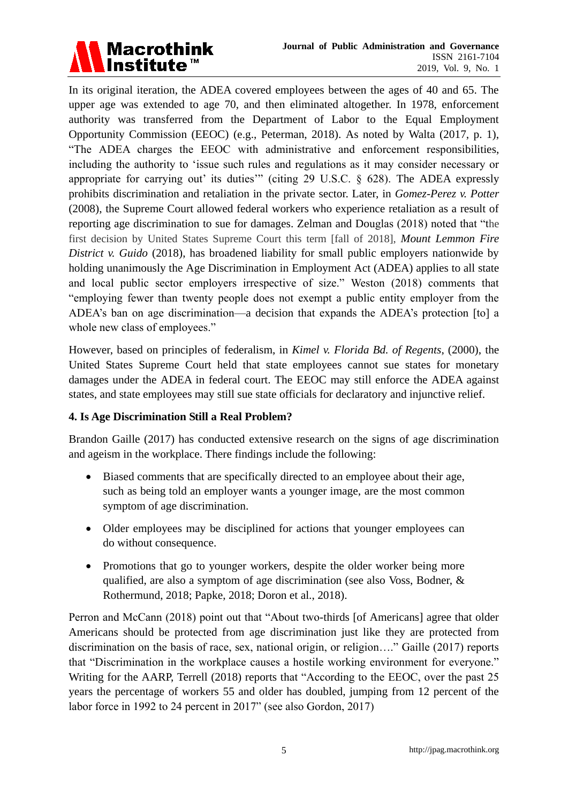

In its original iteration, the ADEA covered employees between the ages of 40 and 65. The upper age was extended to age 70, and then eliminated altogether. In 1978, enforcement authority was transferred from the Department of Labor to the Equal Employment Opportunity Commission (EEOC) (e.g., Peterman, 2018). As noted by Walta (2017, p. 1), "The ADEA charges the EEOC with administrative and enforcement responsibilities, including the authority to 'issue such rules and regulations as it may consider necessary or appropriate for carrying out' its duties'" (citing 29 U.S.C.  $\S$  628). The ADEA expressly prohibits discrimination and retaliation in the private sector. Later, in *[Gomez-Perez v. Potter](https://en.wikipedia.org/wiki/Gomez-Perez_v._Potter)* (2008), the Supreme Court allowed federal workers who experience retaliation as a result of reporting age discrimination to sue for damages. Zelman and Douglas (2018) noted that "the first decision by United States Supreme Court this term [fall of 2018], *Mount Lemmon Fire District v. Guido* (2018), has broadened liability for small public employers nationwide by holding unanimously the Age Discrimination in Employment Act (ADEA) applies to all state and local public sector employers irrespective of size." Weston (2018) comments that "employing fewer than twenty people does not exempt a public entity employer from the ADEA's ban on age discrimination—a decision that expands the ADEA's protection [to] a whole new class of employees."

However, based on principles of federalism, in *[Kimel v. Florida Bd. of Regents](https://en.wikipedia.org/wiki/Kimel_v._Florida_Bd._of_Regents)*, (2000), the United States Supreme Court held that state employees cannot sue states for monetary damages under the ADEA in federal court. The [EEOC](https://en.wikipedia.org/wiki/EEOC) may still enforce the ADEA against states, and state employees may still sue state officials for [declaratory](https://en.wikipedia.org/wiki/Declaratory_relief) and [injunctive relief.](https://en.wikipedia.org/wiki/Injunctive_relief)

## **4. Is Age Discrimination Still a Real Problem?**

Brandon Gaille (2017) has conducted extensive research on the signs of age discrimination and ageism in the workplace. There findings include the following:

- Biased comments that are specifically directed to an employee about their age, such as being told an employer wants a younger image, are the most common symptom of age discrimination.
- Older employees may be disciplined for actions that younger employees can do without consequence.
- Promotions that go to younger workers, despite the older worker being more qualified, are also a symptom of age discrimination (see also Voss, Bodner, & Rothermund, 2018; Papke, 2018; Doron et al., 2018).

Perron and McCann (2018) point out that "About two-thirds [of Americans] agree that older Americans should be protected from age discrimination just like they are protected from discrimination on the basis of race, sex, national origin, or religion...." Gaille  $(2017)$  reports that "Discrimination in the workplace causes a hostile working environment for everyone." Writing for the AARP, Terrell (2018) reports that "According to the EEOC, over the past 25 years the percentage of workers 55 and older has doubled, jumping from 12 percent of the labor force in 1992 to 24 percent in 2017" (see also Gordon, 2017)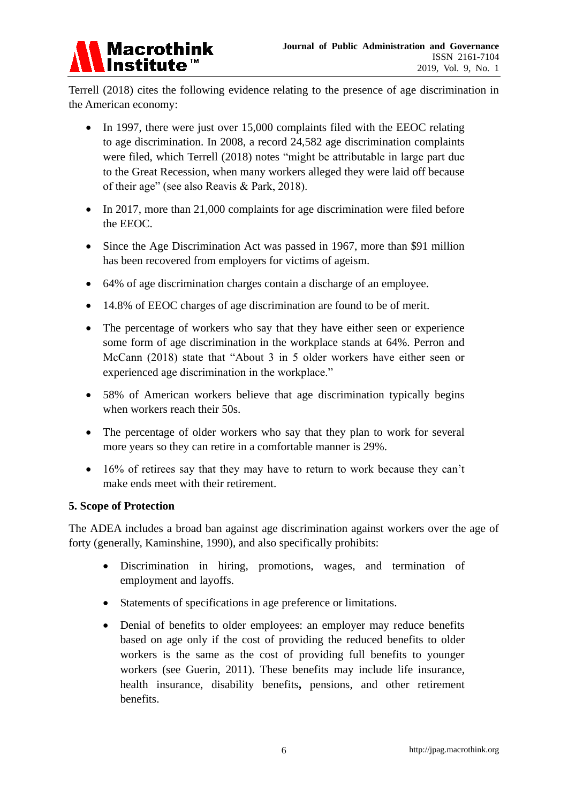

Terrell (2018) cites the following evidence relating to the presence of age discrimination in the American economy:

- In 1997, there were just over 15,000 complaints filed with the EEOC relating to age discrimination. In 2008, a record 24,582 age discrimination complaints were filed, which Terrell (2018) notes "might be attributable in large part due to the Great Recession, when many workers alleged they were laid off because of their age" (see also Reavis & Park, 2018).
- In 2017, more than 21,000 complaints for age discrimination were filed before the EEOC.
- Since the Age Discrimination Act was passed in 1967, more than \$91 million has been recovered from employers for victims of ageism.
- 64% of age discrimination charges contain a discharge of an employee.
- 14.8% of EEOC charges of age discrimination are found to be of merit.
- The percentage of workers who say that they have either seen or experience some form of age discrimination in the workplace stands at 64%. Perron and McCann (2018) state that "About 3 in 5 older workers have either seen or experienced age discrimination in the workplace."
- 58% of American workers believe that age discrimination typically begins when workers reach their 50s.
- The percentage of older workers who say that they plan to work for several more years so they can retire in a comfortable manner is 29%.
- 16% of retirees say that they may have to return to work because they can't make ends meet with their retirement.

#### **5. Scope of Protection**

The ADEA includes a broad ban against age discrimination against workers over the age of forty (generally, Kaminshine, 1990), and also specifically prohibits:

- Discrimination in [hiring,](https://en.wikipedia.org/wiki/Recruitment) promotions, wages, and [termination of](https://en.wikipedia.org/wiki/Termination_of_employment)  [employment](https://en.wikipedia.org/wiki/Termination_of_employment) and [layoffs.](https://en.wikipedia.org/wiki/Layoffs)
- Statements of specifications in age preference or limitations.
- Denial of benefits to older employees: an employer may reduce benefits based on age only if the cost of providing the reduced benefits to older workers is the same as the cost of providing full benefits to younger workers (see Guerin, 2011). These benefits may include life insurance, health insurance, disability benefits**,** pensions, and other retirement benefits.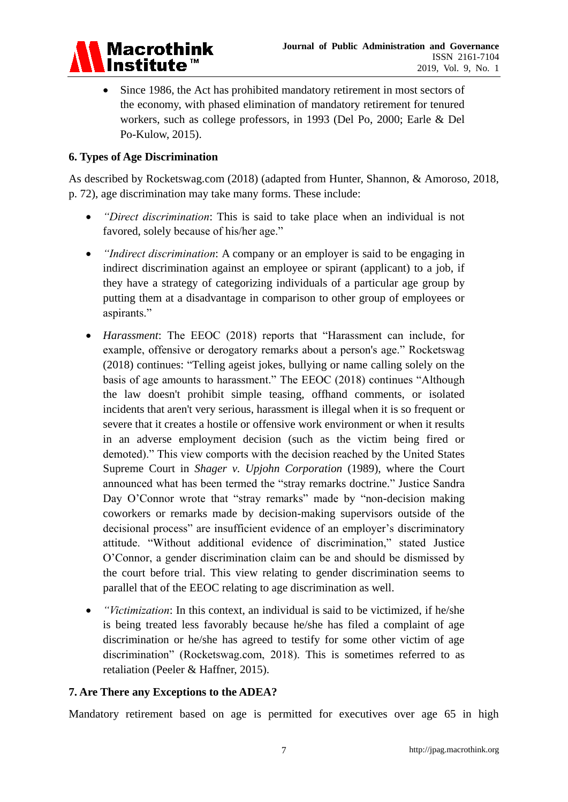

 Since 1986, the Act has prohibited mandatory retirement in most sectors of the economy, with phased elimination of mandatory retirement for tenured workers, such as college professors, in 1993 (Del Po, 2000; Earle & Del Po-Kulow, 2015).

### **6. Types of Age Discrimination**

As described by Rocketswag.com (2018) (adapted from Hunter, Shannon, & Amoroso, 2018, p. 72), age discrimination may take many forms. These include:

- *"Direct discrimination*: This is said to take place when an individual is not favored, solely because of his/her age."
- *"Indirect discrimination*: A company or an employer is said to be engaging in indirect discrimination against an employee or spirant (applicant) to a job, if they have a strategy of categorizing individuals of a particular age group by putting them at a disadvantage in comparison to other group of employees or aspirants."
- *Harassment*: The EEOC (2018) reports that "Harassment can include, for example, offensive or derogatory remarks about a person's age." Rocketswag (2018) continues: "Telling ageist jokes, bullying or name calling solely on the basis of age amounts to harassment." The EEOC (2018) continues "Although the law doesn't prohibit simple teasing, offhand comments, or isolated incidents that aren't very serious, harassment is illegal when it is so frequent or severe that it creates a hostile or offensive work environment or when it results in an adverse employment decision (such as the victim being fired or demoted)." This view comports with the decision reached by the United States Supreme Court in *Shager v. Upjohn Corporation* (1989), where the Court announced what has been termed the "stray remarks doctrine." Justice Sandra Day O'Connor wrote that "stray remarks" made by "non-decision making coworkers or remarks made by decision-making supervisors outside of the decisional process" are insufficient evidence of an employer's discriminatory attitude. "Without additional evidence of discrimination," stated Justice O'Connor, a gender discrimination claim can be and should be dismissed by the court before trial. This view relating to gender discrimination seems to parallel that of the EEOC relating to age discrimination as well.
- *"Victimization*: In this context, an individual is said to be victimized, if he/she is being treated less favorably because he/she has filed a complaint of age discrimination or he/she has agreed to testify for some other victim of age discrimination" (Rocketswag.com, 2018). This is sometimes referred to as retaliation (Peeler & Haffner, 2015).

#### **7. Are There any Exceptions to the ADEA?**

Mandatory retirement based on age is permitted for executives over age 65 in high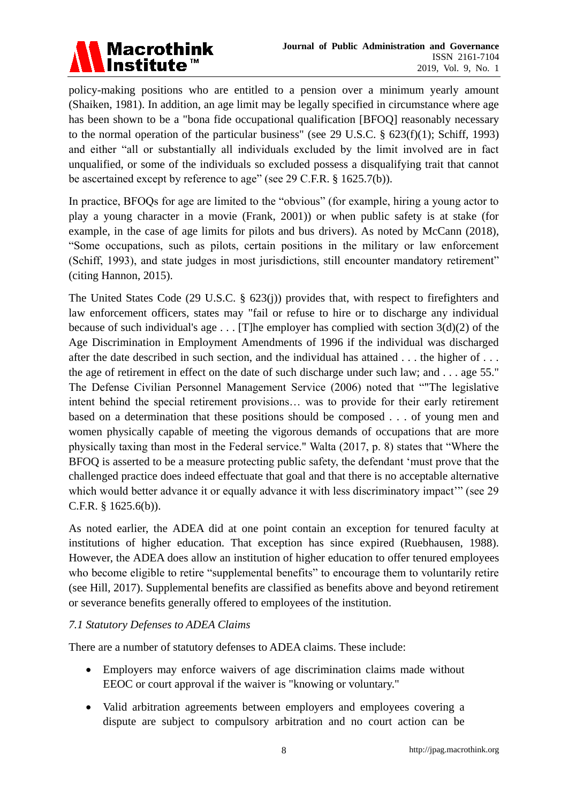

policy-making positions who are entitled to a pension over a minimum yearly amount (Shaiken, 1981). In addition, an age limit may be legally specified in circumstance where age has been shown to be a ["bona fide occupational qualification](https://en.wikipedia.org/wiki/Bona_fide_occupational_qualification) [BFOQ] reasonably necessary to the normal operation of the particular business" (see [29 U.S.C.](https://en.wikipedia.org/wiki/Title_29_of_the_United_States_Code) [§ 623\(f\)\(1\);](https://www.law.cornell.edu/uscode/text/29/623(f)(1)) Schiff, 1993) and either "all or substantially all individuals excluded by the limit involved are in fact unqualified, or some of the individuals so excluded possess a disqualifying trait that cannot be ascertained except by reference to age" (see 29 C.F.R.  $\S 1625.7(b)$ ).

In practice, BFOQs for age are limited to the "obvious" (for example, hiring a young actor to play a young character in a movie (Frank, 2001)) or when public safety is at stake (for example, in the case of age limits for pilots and bus drivers). As noted by McCann (2018), ―Some occupations, such as pilots, certain positions in the military or law enforcement (Schiff, 1993), and state judges in most jurisdictions, still encounter mandatory retirement" (citing Hannon, 2015).

The United States Code (29 U.S.C. § 623(j)) provides that, with respect to firefighters and law enforcement officers, states may "fail or refuse to hire or to discharge any individual because of such individual's age  $\dots$  [T]he employer has complied with section 3(d)(2) of the Age Discrimination in Employment Amendments of 1996 if the individual was discharged after the date described in such section, and the individual has attained . . . the higher of . . . the age of retirement in effect on the date of such discharge under such law; and . . . age 55." The Defense Civilian Personnel Management Service (2006) noted that "The legislative intent behind the special retirement provisions… was to provide for their early retirement based on a determination that these positions should be composed . . . of young men and women physically capable of meeting the vigorous demands of occupations that are more physically taxing than most in the Federal service." Walta  $(2017, p. 8)$  states that "Where the BFOQ is asserted to be a measure protecting public safety, the defendant 'must prove that the challenged practice does indeed effectuate that goal and that there is no acceptable alternative which would better advance it or equally advance it with less discriminatory impact" (see 29 C.F.R. § 1625.6(b)).

As noted earlier, the ADEA did at one point contain an exception for tenured faculty at institutions of higher education. That exception has since expired (Ruebhausen, 1988). However, the ADEA does allow an institution of higher education to offer tenured employees who become eligible to retire "supplemental benefits" to encourage them to voluntarily retire (see Hill, 2017). Supplemental benefits are classified as benefits above and beyond retirement or severance benefits generally offered to employees of the institution.

## *7.1 Statutory Defenses to ADEA Claims*

There are a number of statutory defenses to ADEA claims. These include:

- Employers may enforce waivers of age discrimination claims made without EEOC or court approval if the waiver is "knowing or voluntary."
- Valid arbitration agreements between employers and employees covering a dispute are subject to compulsory arbitration and no court action can be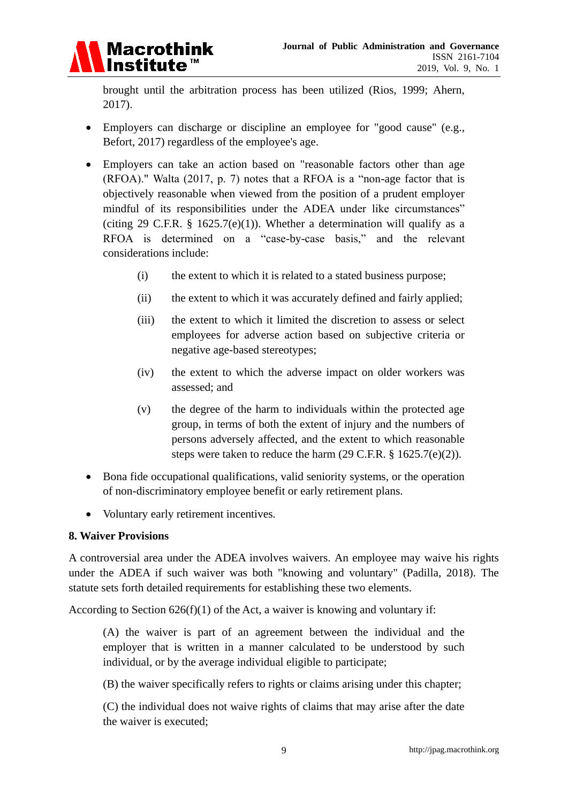

brought until the arbitration process has been utilized (Rios, 1999; Ahern, 2017).

- Employers can [discharge](https://en.wikipedia.org/wiki/Termination_of_employment) or [discipline](https://en.wikipedia.org/wiki/Discipline) an employee for "good cause" (e.g., Befort, 2017) regardless of the employee's age.
- Employers can take an action based on "reasonable factors other than age (RFOA)." Walta (2017, p. 7) notes that a RFOA is a "non-age factor that is objectively reasonable when viewed from the position of a prudent employer mindful of its responsibilities under the ADEA under like circumstances" (citing 29 C.F.R. § 1625.7(e)(1)). Whether a determination will qualify as a RFOA is determined on a "case-by-case basis," and the relevant considerations include:
	- (i) the extent to which it is related to a stated business purpose;
	- (ii) the extent to which it was accurately defined and fairly applied;
	- (iii) the extent to which it limited the discretion to assess or select employees for adverse action based on subjective criteria or negative age-based stereotypes;
	- (iv) the extent to which the adverse impact on older workers was assessed; and
	- (v) the degree of the harm to individuals within the protected age group, in terms of both the extent of injury and the numbers of persons adversely affected, and the extent to which reasonable steps were taken to reduce the harm (29 C.F.R. § 1625.7(e)(2)).
- Bona fide occupational qualifications, valid seniority systems, or the operation of non-discriminatory employee benefit or early retirement plans.
- Voluntary early retirement incentives.

#### **8. Waiver Provisions**

A controversial area under the ADEA involves waivers. An employee may waive his rights under the ADEA if such waiver was both "knowing and voluntary" (Padilla, 2018). The statute sets forth detailed requirements for establishing these two elements.

According to Section  $626(f)(1)$  of the Act, a waiver is knowing and voluntary if:

(A) the waiver is part of an agreement between the individual and the employer that is written in a manner calculated to be understood by such individual, or by the average individual eligible to participate;

(B) the waiver specifically refers to rights or claims arising under this chapter;

(C) the individual does not waive rights of claims that may arise after the date the waiver is executed;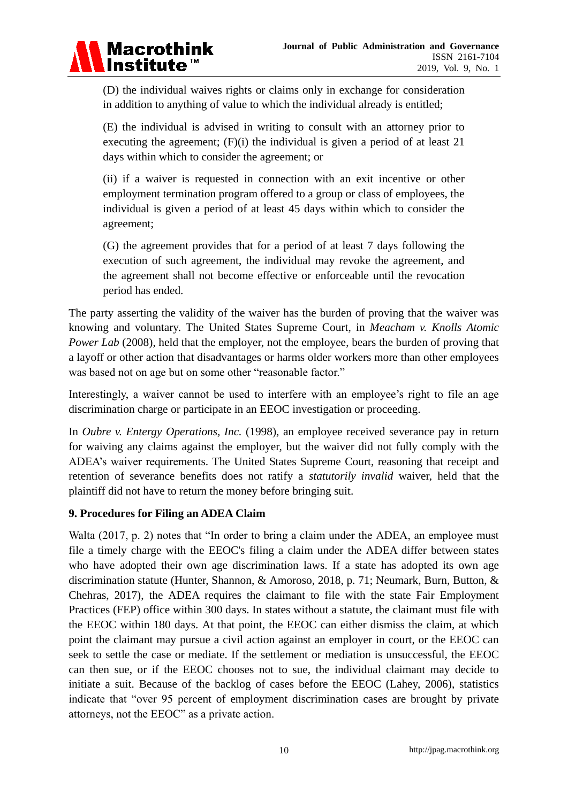

(D) the individual waives rights or claims only in exchange for consideration in addition to anything of value to which the individual already is entitled;

(E) the individual is advised in writing to consult with an attorney prior to executing the agreement;  $(F)(i)$  the individual is given a period of at least 21 days within which to consider the agreement; or

(ii) if a waiver is requested in connection with an exit incentive or other employment termination program offered to a group or class of employees, the individual is given a period of at least 45 days within which to consider the agreement;

(G) the agreement provides that for a period of at least 7 days following the execution of such agreement, the individual may revoke the agreement, and the agreement shall not become effective or enforceable until the revocation period has ended.

The party asserting the validity of the waiver has the burden of proving that the waiver was knowing and voluntary. The [United States Supreme Court,](https://en.wikipedia.org/wiki/Supreme_Court_of_the_United_States) in *[Meacham v. Knolls Atomic](https://en.wikipedia.org/wiki/List_of_United_States_Supreme_Court_cases,_volume_554)  [Power Lab](https://en.wikipedia.org/wiki/List_of_United_States_Supreme_Court_cases,_volume_554)* (2008), held that the employer, not the employee, bears the burden of proving that a layoff or other action that disadvantages or harms older workers more than other employees was based not on age but on some other "reasonable factor."

Interestingly, a waiver cannot be used to interfere with an employee's right to file an age discrimination charge or participate in an EEOC investigation or proceeding.

In *Oubre v. Entergy Operations, Inc.* (1998), an employee received severance pay in return for waiving any claims against the employer, but the waiver did not fully comply with the ADEA's waiver requirements. The United States Supreme Court, reasoning that receipt and retention of severance benefits does not ratify a *statutorily invalid* waiver, held that the plaintiff did not have to return the money before bringing suit.

## **9. Procedures for Filing an ADEA Claim**

Walta  $(2017, p. 2)$  notes that "In order to bring a claim under the ADEA, an employee must file a timely charge with the EEOC's filing a claim under the ADEA differ between states who have adopted their own age discrimination laws. If a state has adopted its own age discrimination statute (Hunter, Shannon, & Amoroso, 2018, p. 71; Neumark, Burn, Button, & Chehras, 2017), the ADEA requires the claimant to file with the state Fair Employment Practices (FEP) office within 300 days. In states without a statute, the claimant must file with the EEOC within 180 days. At that point, the EEOC can either dismiss the claim, at which point the claimant may pursue a civil action against an employer in court, or the EEOC can seek to settle the case or mediate. If the settlement or mediation is unsuccessful, the EEOC can then sue, or if the EEOC chooses not to sue, the individual claimant may decide to initiate a suit. Because of the backlog of cases before the EEOC (Lahey, 2006), statistics indicate that "over 95 percent of employment discrimination cases are brought by private attorneys, not the EEOC" as a private action.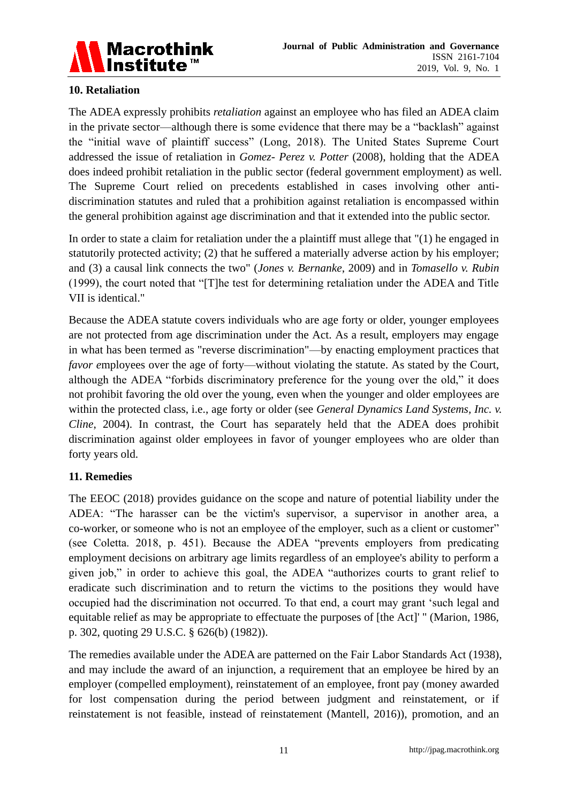

## **10. Retaliation**

The ADEA expressly prohibits *retaliation* against an employee who has filed an ADEA claim in the private sector—although there is some evidence that there may be a "backlash" against the "initial wave of plaintiff success" (Long, 2018). The United States Supreme Court addressed the issue of retaliation in *Gomez- Perez v. Potter* (2008), holding that the ADEA does indeed prohibit retaliation in the public sector (federal government employment) as well. The Supreme Court relied on precedents established in cases involving other antidiscrimination statutes and ruled that a prohibition against retaliation is encompassed within the general prohibition against age discrimination and that it extended into the public sector.

In order to state a claim for retaliation under the a plaintiff must allege that "(1) he engaged in statutorily protected activity; (2) that he suffered a materially adverse action by his employer; and (3) a causal link connects the two" (*Jones v. Bernanke*, 2009) and in *Tomasello v. Rubin*  $(1999)$ , the court noted that "[T]he test for determining retaliation under the ADEA and Title VII is identical."

Because the ADEA statute covers individuals who are age forty or older, younger employees are not protected from age discrimination under the Act. As a result, employers may engage in what has been termed as "reverse discrimination"—by enacting employment practices that *favor employees over the age of forty—without violating the statute. As stated by the Court,* although the ADEA "forbids discriminatory preference for the young over the old," it does not prohibit favoring the old over the young, even when the younger and older employees are within the protected class, i.e., age forty or older (see *General Dynamics Land Systems, Inc. v. Cline*, 2004). In contrast, the Court has separately held that the ADEA does prohibit discrimination against older employees in favor of younger employees who are older than forty years old.

## **11. Remedies**

The EEOC (2018) provides guidance on the scope and nature of potential liability under the ADEA: "The harasser can be the victim's supervisor, a supervisor in another area, a co-worker, or someone who is not an employee of the employer, such as a client or customer" (see Coletta. 2018, p. 451). Because the ADEA "prevents employers from predicating employment decisions on arbitrary age limits regardless of an employee's ability to perform a given job," in order to achieve this goal, the ADEA "authorizes courts to grant relief to eradicate such discrimination and to return the victims to the positions they would have occupied had the discrimination not occurred. To that end, a court may grant 'such legal and equitable relief as may be appropriate to effectuate the purposes of [the Act]' " (Marion, 1986, p. 302, quoting 29 U.S.C. § 626(b) (1982)).

The remedies available under the ADEA are patterned on the Fair Labor Standards Act (1938), and may include the award of an injunction, a requirement that an employee be hired by an employer (compelled employment), reinstatement of an employee, front pay (money awarded for lost compensation during the period between judgment and reinstatement, or if reinstatement is not feasible, instead of reinstatement (Mantell, 2016)), promotion, and an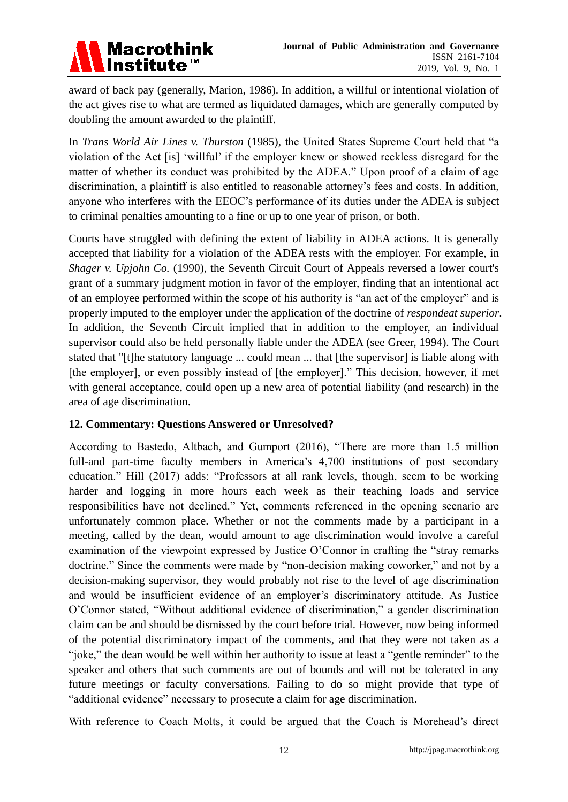

award of back pay (generally, Marion, 1986). In addition, a willful or intentional violation of the act gives rise to what are termed as liquidated damages, which are generally computed by doubling the amount awarded to the plaintiff.

In *Trans World Air Lines v. Thurston* (1985), the United States Supreme Court held that "a violation of the Act [is] ‗willful' if the employer knew or showed reckless disregard for the matter of whether its conduct was prohibited by the ADEA." Upon proof of a claim of age discrimination, a plaintiff is also entitled to reasonable attorney's fees and costs. In addition, anyone who interferes with the EEOC's performance of its duties under the ADEA is subject to criminal penalties amounting to a fine or up to one year of prison, or both.

Courts have struggled with defining the extent of liability in ADEA actions. It is generally accepted that liability for a violation of the ADEA rests with the employer. For example, in *Shager v. Upjohn Co.* (1990), the Seventh Circuit Court of Appeals reversed a lower court's grant of a summary judgment motion in favor of the employer, finding that an intentional act of an employee performed within the scope of his authority is "an act of the employer" and is properly imputed to the employer under the application of the doctrine of *respondeat superior*. In addition, the Seventh Circuit implied that in addition to the employer, an individual supervisor could also be held personally liable under the ADEA (see Greer, 1994). The Court stated that "[t]he statutory language ... could mean ... that [the supervisor] is liable along with [the employer], or even possibly instead of [the employer]." This decision, however, if met with general acceptance, could open up a new area of potential liability (and research) in the area of age discrimination.

## **12. Commentary: Questions Answered or Unresolved?**

According to Bastedo, Altbach, and Gumport (2016), "There are more than 1.5 million full-and part-time faculty members in America's 4,700 institutions of post secondary education." Hill (2017) adds: "Professors at all rank levels, though, seem to be working harder and logging in more hours each week as their teaching loads and service responsibilities have not declined." Yet, comments referenced in the opening scenario are unfortunately common place. Whether or not the comments made by a participant in a meeting, called by the dean, would amount to age discrimination would involve a careful examination of the viewpoint expressed by Justice O'Connor in crafting the "stray remarks" doctrine." Since the comments were made by "non-decision making coworker," and not by a decision-making supervisor, they would probably not rise to the level of age discrimination and would be insufficient evidence of an employer's discriminatory attitude. As Justice O'Connor stated, "Without additional evidence of discrimination," a gender discrimination claim can be and should be dismissed by the court before trial. However, now being informed of the potential discriminatory impact of the comments, and that they were not taken as a "joke," the dean would be well within her authority to issue at least a "gentle reminder" to the speaker and others that such comments are out of bounds and will not be tolerated in any future meetings or faculty conversations. Failing to do so might provide that type of "additional evidence" necessary to prosecute a claim for age discrimination.

With reference to Coach Molts, it could be argued that the Coach is Morehead's direct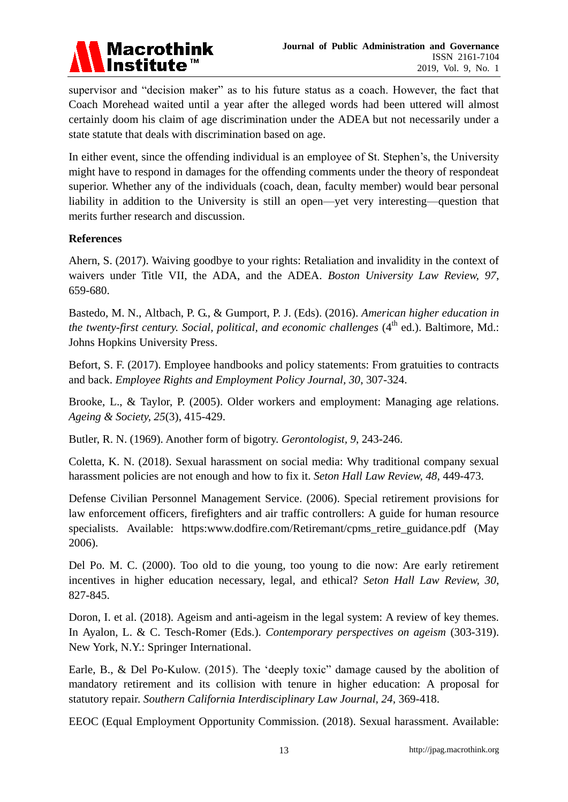

supervisor and "decision maker" as to his future status as a coach. However, the fact that Coach Morehead waited until a year after the alleged words had been uttered will almost certainly doom his claim of age discrimination under the ADEA but not necessarily under a state statute that deals with discrimination based on age.

In either event, since the offending individual is an employee of St. Stephen's, the University might have to respond in damages for the offending comments under the theory of respondeat superior. Whether any of the individuals (coach, dean, faculty member) would bear personal liability in addition to the University is still an open—yet very interesting—question that merits further research and discussion.

#### **References**

Ahern, S. (2017). Waiving goodbye to your rights: Retaliation and invalidity in the context of waivers under Title VII, the ADA, and the ADEA. *Boston University Law Review, 97*, 659-680.

Bastedo, M. N., Altbach, P. G., & Gumport, P. J. (Eds). (2016). *American higher education in the twenty-first century. Social, political, and economic challenges* (4<sup>th</sup> ed.). Baltimore, Md.: Johns Hopkins University Press.

Befort, S. F. (2017). Employee handbooks and policy statements: From gratuities to contracts and back. *Employee Rights and Employment Policy Journal, 30*, 307-324.

Brooke, L., & Taylor, P. (2005). Older workers and employment: Managing age relations. *Ageing & Society, 25*(3), 415-429.

Butler, R. N. (1969). Another form of bigotry. *Gerontologist, 9*, 243-246.

Coletta, K. N. (2018). Sexual harassment on social media: Why traditional company sexual harassment policies are not enough and how to fix it. *Seton Hall Law Review, 48*, 449-473.

Defense Civilian Personnel Management Service. (2006). Special retirement provisions for law enforcement officers, firefighters and air traffic controllers: A guide for human resource specialists. Available: https:www.dodfire.com/Retiremant/cpms\_retire\_guidance.pdf (May 2006).

Del Po. M. C. (2000). Too old to die young, too young to die now: Are early retirement incentives in higher education necessary, legal, and ethical? *Seton Hall Law Review, 30*, 827-845.

Doron, I. et al. (2018). Ageism and anti-ageism in the legal system: A review of key themes. In Ayalon, L. & C. Tesch-Romer (Eds.). *Contemporary perspectives on ageism* (303-319). New York, N.Y.: Springer International.

Earle, B., & Del Po-Kulow.  $(2015)$ . The 'deeply toxic'' damage caused by the abolition of mandatory retirement and its collision with tenure in higher education: A proposal for statutory repair. *Southern California Interdisciplinary Law Journal, 24,* 369-418.

EEOC (Equal Employment Opportunity Commission. (2018). Sexual harassment. Available: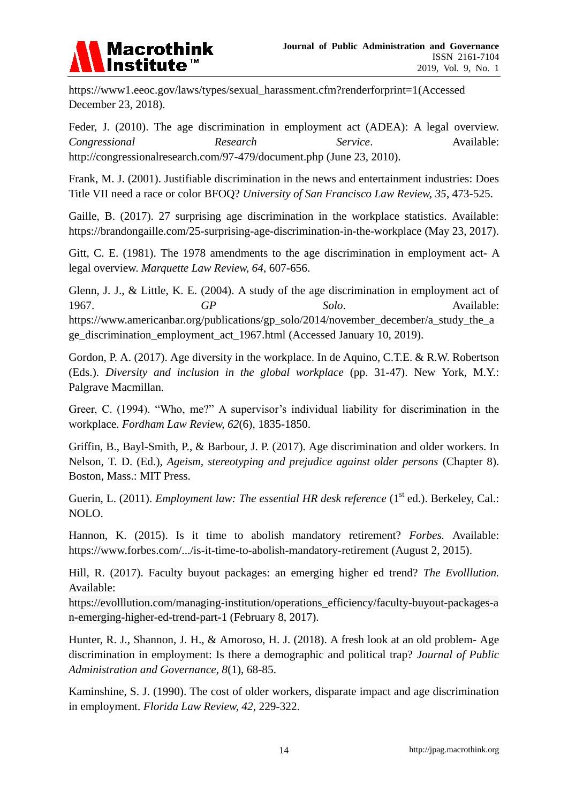

[https://www1.eeoc.gov/laws/types/sexual\\_harassment.cfm?renderforprint=1\(](https://www1.eeoc.gov/laws/types/sexual_harassment.cfm?renderforprint=1)Accessed December 23, 2018).

Feder, J. (2010). The age discrimination in employment act (ADEA): A legal overview. *Congressional Research Service*. Available: <http://congressionalresearch.com/97-479/document.php> (June 23, 2010).

Frank, M. J. (2001). Justifiable discrimination in the news and entertainment industries: Does Title VII need a race or color BFOQ? *University of San Francisco Law Review, 35*, 473-525.

Gaille, B. (2017). 27 surprising age discrimination in the workplace statistics. Available: <https://brandongaille.com/25-surprising-age-discrimination-in-the-workplace> (May 23, 2017).

Gitt, C. E. (1981). The 1978 amendments to the age discrimination in employment act- A legal overview. *Marquette Law Review, 64*, 607-656.

Glenn, J. J., & Little, K. E. (2004). A study of the age discrimination in employment act of 1967. **GP** Solo. Available: [https://www.americanbar.org/publications/gp\\_solo/2014/november\\_december/a\\_study\\_the\\_a](https://www.americanbar.org/publications/gp_solo/2014/november_december/a_study_the_age_discrimination_employment_act_1967.html) [ge\\_discrimination\\_employment\\_act\\_1967.html](https://www.americanbar.org/publications/gp_solo/2014/november_december/a_study_the_age_discrimination_employment_act_1967.html) (Accessed January 10, 2019).

Gordon, P. A. (2017). Age diversity in the workplace. In de Aquino, C.T.E. & R.W. Robertson (Eds.). *Diversity and inclusion in the global workplace* (pp. 31-47). New York, M.Y.: Palgrave Macmillan.

Greer, C. (1994). "Who, me?" A supervisor's individual liability for discrimination in the workplace. *Fordham Law Review, 62*(6), 1835-1850.

Griffin, B., Bayl-Smith, P., & Barbour, J. P. (2017). Age discrimination and older workers. In Nelson, T. D. (Ed.), *Ageism, stereotyping and prejudice against older persons* (Chapter 8). Boston, Mass.: MIT Press.

Guerin, L. (2011). *Employment law: The essential HR desk reference* (1<sup>st</sup> ed.). Berkeley, Cal.: NOLO.

Hannon, K. (2015). Is it time to abolish mandatory retirement? *Forbes.* Available: <https://www.forbes.com/.../is-it-time-to-abolish-mandatory-retirement> (August 2, 2015).

Hill, R. (2017). Faculty buyout packages: an emerging higher ed trend? *The Evolllution.* Available:

[https://evolllution.com/managing-institution/operations\\_efficiency/faculty-buyout-packages-a](https://evolllution.com/managing-institution/operations_efficiency/faculty-buyout-packages-an-emerging-higher-ed-trend-part-1/) [n-emerging-higher-ed-trend-part-1](https://evolllution.com/managing-institution/operations_efficiency/faculty-buyout-packages-an-emerging-higher-ed-trend-part-1/) (February 8, 2017).

Hunter, R. J., Shannon, J. H., & Amoroso, H. J. (2018). A fresh look at an old problem- Age discrimination in employment: Is there a demographic and political trap? *Journal of Public Administration and Governance, 8*(1), 68-85.

Kaminshine, S. J. (1990). The cost of older workers, disparate impact and age discrimination in employment. *Florida Law Review, 42*, 229-322.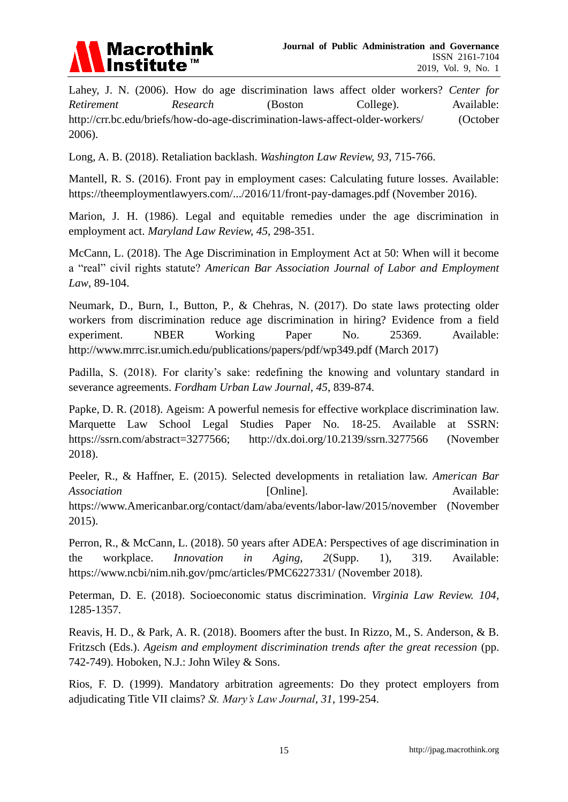

Lahey, J. N. (2006). How do age discrimination laws affect older workers? *Center for*  Retirement Research (Boston College). Available: <http://crr.bc.edu/briefs/how-do-age-discrimination-laws-affect-older-workers/> (October 2006).

Long, A. B. (2018). Retaliation backlash. *Washington Law Review, 93*, 715-766.

Mantell, R. S. (2016). Front pay in employment cases: Calculating future losses. Available: <https://theemploymentlawyers.com/.../2016/11/front-pay-damages.pdf> (November 2016).

Marion, J. H. (1986). Legal and equitable remedies under the age discrimination in employment act. *Maryland Law Review, 45*, 298-351.

McCann, L. (2018). The Age Discrimination in Employment Act at 50: When will it become a "real" civil rights statute? *American Bar Association Journal of Labor and Employment Law*, 89-104.

Neumark, D., Burn, I., Button, P., & Chehras, N. (2017). Do state laws protecting older workers from discrimination reduce age discrimination in hiring? Evidence from a field experiment. NBER Working Paper No. 25369. Available: <http://www.mrrc.isr.umich.edu/publications/papers/pdf/wp349.pdf> (March 2017)

Padilla, S. (2018). For clarity's sake: redefining the knowing and voluntary standard in severance agreements. *Fordham Urban Law Journal, 45*, 839-874.

Papke, D. R. (2018). Ageism: A powerful nemesis for effective workplace discrimination law. Marquette Law School Legal Studies Paper No. 18-25. Available at SSRN: [https://ssrn.com/abstract=3277566;](https://ssrn.com/abstract=3277566) [http://dx.doi.org/10.2139/ssrn.3277566 \(](https://dx.doi.org/10.2139/ssrn.3277566)November 2018).

Peeler, R., & Haffner, E. (2015). Selected developments in retaliation law. *American Bar Association* **Example 1** [Online]. Available: Available: [https://www.Americanbar.org/contact/dam/aba/events/labor-law/2015/november](https://www.americanbar.org/contact/dam/aba/events/labor-law/2015/november) (November 2015).

Perron, R., & McCann, L. (2018). 50 years after ADEA: Perspectives of age discrimination in the workplace. *Innovation in Aging, 2*(Supp. 1), 319. Available: <https://www.ncbi/nim.nih.gov/pmc/articles/PMC6227331/> (November 2018).

Peterman, D. E. (2018). Socioeconomic status discrimination. *Virginia Law Review. 104*, 1285-1357.

Reavis, H. D., & Park, A. R. (2018). Boomers after the bust. In Rizzo, M., S. Anderson, & B. Fritzsch (Eds.). *Ageism and employment discrimination trends after the great recession* (pp. 742-749). Hoboken, N.J.: John Wiley & Sons.

Rios, F. D. (1999). Mandatory arbitration agreements: Do they protect employers from adjudicating Title VII claims? *St. Mary's Law Journal, 31*, 199-254.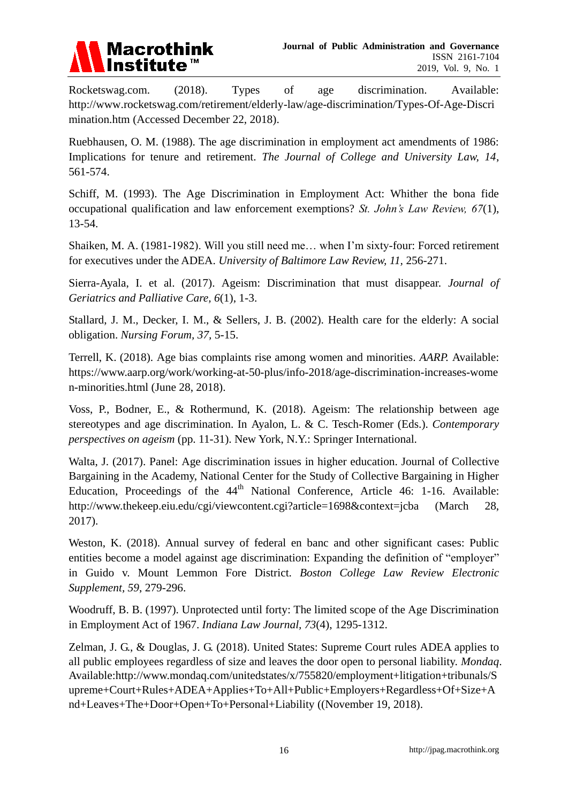

Rocketswag.com. (2018). Types of age discrimination. Available: [http://www.rocketswag.com/retirement/elderly-law/age-discrimination/Types-Of-Age-Discri](http://www.rocketswag.com/retirement/elderly-law/age-discrimination/Types-Of-Age-Discrimination.htm) [mination.htm](http://www.rocketswag.com/retirement/elderly-law/age-discrimination/Types-Of-Age-Discrimination.htm) (Accessed December 22, 2018).

Ruebhausen, O. M. (1988). The age discrimination in employment act amendments of 1986: Implications for tenure and retirement. *The Journal of College and University Law, 14*, 561-574.

Schiff, M. (1993). The Age Discrimination in Employment Act: Whither the bona fide occupational qualification and law enforcement exemptions? *St. John's Law Review, 67*(1), 13-54.

Shaiken, M. A. (1981-1982). Will you still need me… when I'm sixty-four: Forced retirement for executives under the ADEA. *University of Baltimore Law Review, 11,* 256-271.

Sierra-Ayala, I. et al. (2017). Ageism: Discrimination that must disappear. *Journal of Geriatrics and Palliative Care, 6*(1), 1-3.

Stallard, J. M., Decker, I. M., & Sellers, J. B. (2002). Health care for the elderly: A social obligation. *Nursing Forum, 37,* 5-15.

Terrell, K. (2018). Age bias complaints rise among women and minorities. *AARP.* Available: [https://www.aarp.org/work/working-at-50-plus/info-2018/age-discrimination-increases-wome](https://www.aarp.org/work/working-at-50-plus/info-2018/age-discrimination-increases-women-minorities.html) [n-minorities.html](https://www.aarp.org/work/working-at-50-plus/info-2018/age-discrimination-increases-women-minorities.html) (June 28, 2018).

Voss, P., Bodner, E., & Rothermund, K. (2018). Ageism: The relationship between age stereotypes and age discrimination. In Ayalon, L. & C. Tesch-Romer (Eds.). *Contemporary perspectives on ageism* (pp. 11-31). New York, N.Y.: Springer International.

Walta, J. (2017). Panel: Age discrimination issues in higher education. Journal of Collective Bargaining in the Academy, National Center for the Study of Collective Bargaining in Higher Education, Proceedings of the  $44<sup>th</sup>$  National Conference, Article 46: 1-16. Available: <http://www.thekeep.eiu.edu/cgi/viewcontent.cgi?article=1698&context=jcba> (March 28, 2017).

Weston, K. (2018). Annual survey of federal en banc and other significant cases: Public entities become a model against age discrimination: Expanding the definition of "employer" in Guido v. Mount Lemmon Fore District. *Boston College Law Review Electronic Supplement, 59*, 279-296.

Woodruff, B. B. (1997). Unprotected until forty: The limited scope of the Age Discrimination in Employment Act of 1967. *Indiana Law Journal, 73*(4), 1295-1312.

Zelman, J. G., & Douglas, J. G. (2018). United States: Supreme Court rules ADEA applies to all public employees regardless of size and leaves the door open to personal liability. *Mondaq*. Available[:http://www.mondaq.com/unitedstates/x/755820/employment+litigation+tribunals/S](http://www.mondaq.com/unitedstates/x/755820/employment+litigation+tribunals/Supreme+Court+Rules+ADEA+Applies+To+All+Public+Employers+Regardless+Of+Size+And+Leaves+The+Door+Open+To+Personal+Liability) [upreme+Court+Rules+ADEA+Applies+To+All+Public+Employers+Regardless+Of+Size+A](http://www.mondaq.com/unitedstates/x/755820/employment+litigation+tribunals/Supreme+Court+Rules+ADEA+Applies+To+All+Public+Employers+Regardless+Of+Size+And+Leaves+The+Door+Open+To+Personal+Liability) [nd+Leaves+The+Door+Open+To+Personal+Liability](http://www.mondaq.com/unitedstates/x/755820/employment+litigation+tribunals/Supreme+Court+Rules+ADEA+Applies+To+All+Public+Employers+Regardless+Of+Size+And+Leaves+The+Door+Open+To+Personal+Liability) ((November 19, 2018).